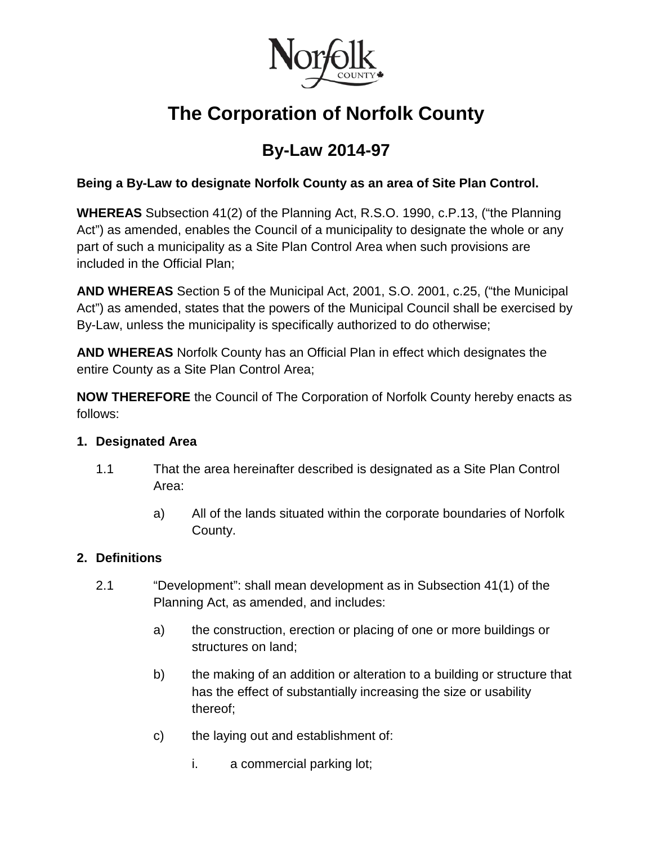

# **The Corporation of Norfolk County**

## **By-Law 2014-97**

#### **Being a By-Law to designate Norfolk County as an area of Site Plan Control.**

**WHEREAS** Subsection 41(2) of the Planning Act, R.S.O. 1990, c.P.13, ("the Planning Act") as amended, enables the Council of a municipality to designate the whole or any part of such a municipality as a Site Plan Control Area when such provisions are included in the Official Plan;

**AND WHEREAS** Section 5 of the Municipal Act, 2001, S.O. 2001, c.25, ("the Municipal Act") as amended, states that the powers of the Municipal Council shall be exercised by By-Law, unless the municipality is specifically authorized to do otherwise;

**AND WHEREAS** Norfolk County has an Official Plan in effect which designates the entire County as a Site Plan Control Area;

**NOW THEREFORE** the Council of The Corporation of Norfolk County hereby enacts as follows:

#### **1. Designated Area**

- 1.1 That the area hereinafter described is designated as a Site Plan Control Area:
	- a) All of the lands situated within the corporate boundaries of Norfolk County.

#### **2. Definitions**

- 2.1 "Development": shall mean development as in Subsection 41(1) of the Planning Act, as amended, and includes:
	- a) the construction, erection or placing of one or more buildings or structures on land;
	- b) the making of an addition or alteration to a building or structure that has the effect of substantially increasing the size or usability thereof;
	- c) the laying out and establishment of:
		- i. a commercial parking lot;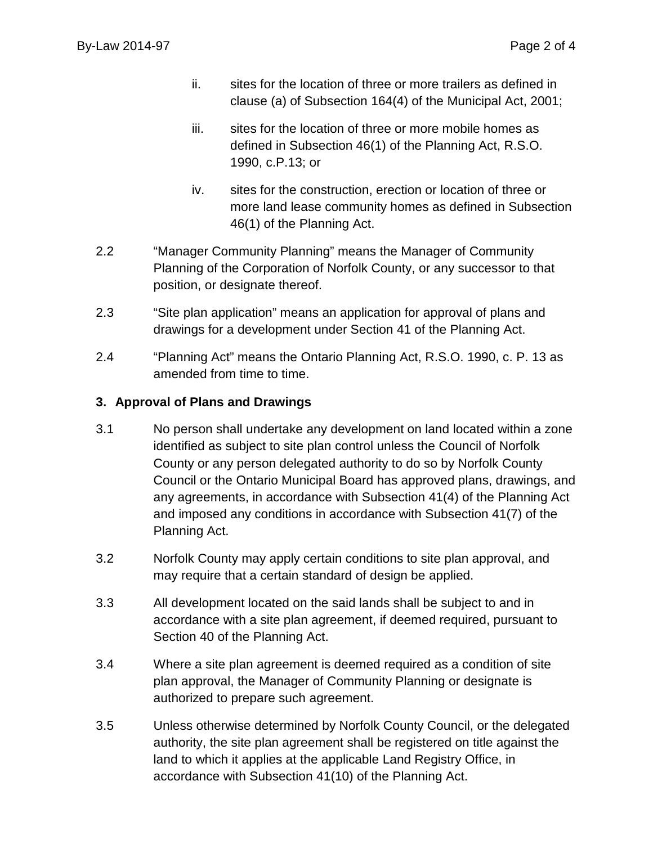- ii. sites for the location of three or more trailers as defined in clause (a) of Subsection 164(4) of the Municipal Act, 2001;
- iii. sites for the location of three or more mobile homes as defined in Subsection 46(1) of the Planning Act, R.S.O. 1990, c.P.13; or
- iv. sites for the construction, erection or location of three or more land lease community homes as defined in Subsection 46(1) of the Planning Act.
- 2.2 "Manager Community Planning" means the Manager of Community Planning of the Corporation of Norfolk County, or any successor to that position, or designate thereof.
- 2.3 "Site plan application" means an application for approval of plans and drawings for a development under Section 41 of the Planning Act.
- 2.4 "Planning Act" means the Ontario Planning Act, R.S.O. 1990, c. P. 13 as amended from time to time.

#### **3. Approval of Plans and Drawings**

- 3.1 No person shall undertake any development on land located within a zone identified as subject to site plan control unless the Council of Norfolk County or any person delegated authority to do so by Norfolk County Council or the Ontario Municipal Board has approved plans, drawings, and any agreements, in accordance with Subsection 41(4) of the Planning Act and imposed any conditions in accordance with Subsection 41(7) of the Planning Act.
- 3.2 Norfolk County may apply certain conditions to site plan approval, and may require that a certain standard of design be applied.
- 3.3 All development located on the said lands shall be subject to and in accordance with a site plan agreement, if deemed required, pursuant to Section 40 of the Planning Act.
- 3.4 Where a site plan agreement is deemed required as a condition of site plan approval, the Manager of Community Planning or designate is authorized to prepare such agreement.
- 3.5 Unless otherwise determined by Norfolk County Council, or the delegated authority, the site plan agreement shall be registered on title against the land to which it applies at the applicable Land Registry Office, in accordance with Subsection 41(10) of the Planning Act.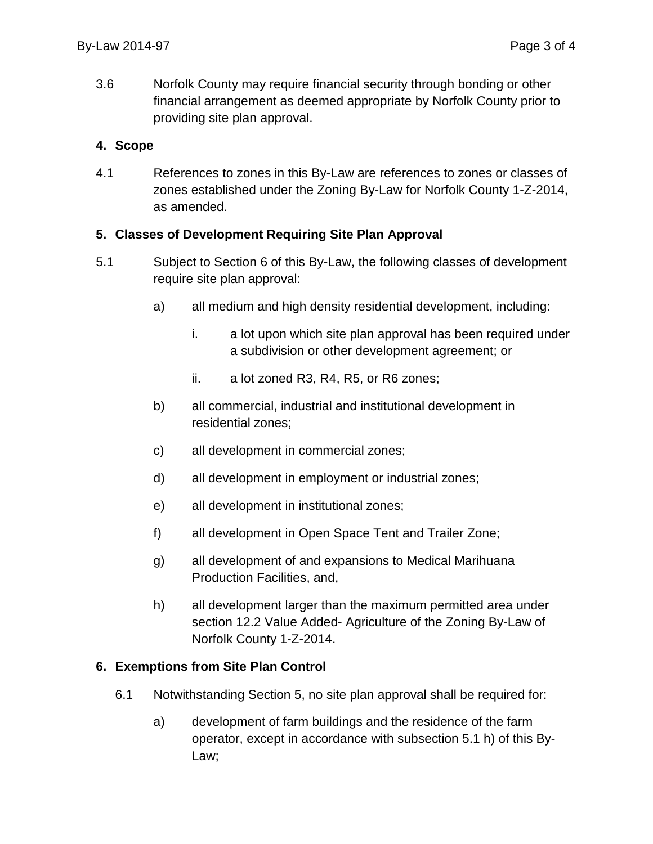3.6 Norfolk County may require financial security through bonding or other financial arrangement as deemed appropriate by Norfolk County prior to providing site plan approval.

#### **4. Scope**

4.1 References to zones in this By-Law are references to zones or classes of zones established under the Zoning By-Law for Norfolk County 1-Z-2014, as amended.

#### **5. Classes of Development Requiring Site Plan Approval**

- 5.1 Subject to Section 6 of this By-Law, the following classes of development require site plan approval:
	- a) all medium and high density residential development, including:
		- i. a lot upon which site plan approval has been required under a subdivision or other development agreement; or
		- ii. a lot zoned R3, R4, R5, or R6 zones;
	- b) all commercial, industrial and institutional development in residential zones;
	- c) all development in commercial zones;
	- d) all development in employment or industrial zones;
	- e) all development in institutional zones;
	- f) all development in Open Space Tent and Trailer Zone;
	- g) all development of and expansions to Medical Marihuana Production Facilities, and,
	- h) all development larger than the maximum permitted area under section 12.2 Value Added- Agriculture of the Zoning By-Law of Norfolk County 1-Z-2014.

### **6. Exemptions from Site Plan Control**

- 6.1 Notwithstanding Section 5, no site plan approval shall be required for:
	- a) development of farm buildings and the residence of the farm operator, except in accordance with subsection 5.1 h) of this By-Law;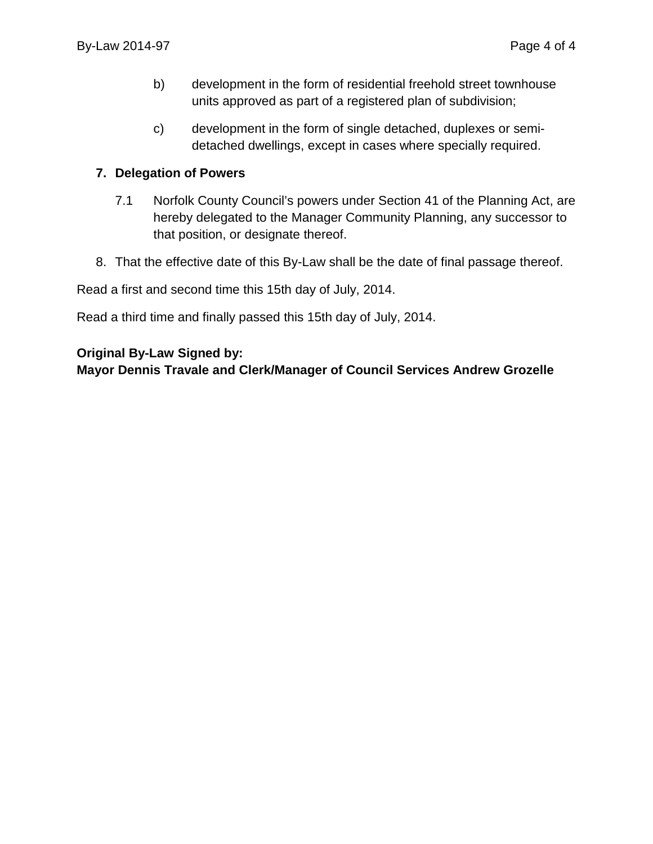- b) development in the form of residential freehold street townhouse units approved as part of a registered plan of subdivision;
- c) development in the form of single detached, duplexes or semidetached dwellings, except in cases where specially required.

#### **7. Delegation of Powers**

- 7.1 Norfolk County Council's powers under Section 41 of the Planning Act, are hereby delegated to the Manager Community Planning, any successor to that position, or designate thereof.
- 8. That the effective date of this By-Law shall be the date of final passage thereof.

Read a first and second time this 15th day of July, 2014.

Read a third time and finally passed this 15th day of July, 2014.

#### **Original By-Law Signed by:**

**Mayor Dennis Travale and Clerk/Manager of Council Services Andrew Grozelle**